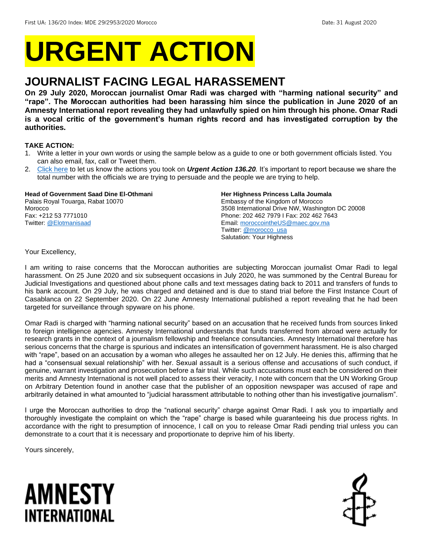# **URGENT ACTION**

## **JOURNALIST FACING LEGAL HARASSEMENT**

**On 29 July 2020, Moroccan journalist Omar Radi was charged with "harming national security" and "rape". The Moroccan authorities had been harassing him since the publication in June 2020 of an Amnesty International report revealing they had unlawfully spied on him through his phone. Omar Radi is a vocal critic of the government's human rights record and has investigated corruption by the authorities.** 

#### **TAKE ACTION:**

- 1. Write a letter in your own words or using the sample below as a guide to one or both government officials listed. You can also email, fax, call or Tweet them.
- 2. [Click here](https://www.amnestyusa.org/report-urgent-actions/) to let us know the actions you took on *Urgent Action 136.20.* It's important to report because we share the total number with the officials we are trying to persuade and the people we are trying to help.

#### **Head of Government Saad Dine El-Othmani**  Palais Royal Touarga, Rabat 10070 Morocco Fax: +212 53 7771010 Twitter: [@Elotmanisaad](https://twitter.com/elotmanisaad?lang=en)

#### **Her Highness Princess Lalla Joumala**

Embassy of the Kingdom of Morocco 3508 International Drive NW, Washington DC 20008 Phone: 202 462 7979 I Fax: 202 462 7643 Email[: moroccointheUS@maec.gov.ma](mailto:moroccointheUS@maec.gov.ma) Twitter: [@morocco\\_usa](https://twitter.com/morocco_usa?lang=en) Salutation: Your Highness

Your Excellency,

I am writing to raise concerns that the Moroccan authorities are subjecting Moroccan journalist Omar Radi to legal harassment. On 25 June 2020 and six subsequent occasions in July 2020, he was summoned by the Central Bureau for Judicial Investigations and questioned about phone calls and text messages dating back to 2011 and transfers of funds to his bank account. On 29 July, he was charged and detained and is due to stand trial before the First Instance Court of Casablanca on 22 September 2020. On 22 June Amnesty International published a report revealing that he had been targeted for surveillance through spyware on his phone.

Omar Radi is charged with "harming national security" based on an accusation that he received funds from sources linked to foreign intelligence agencies. Amnesty International understands that funds transferred from abroad were actually for research grants in the context of a journalism fellowship and freelance consultancies. Amnesty International therefore has serious concerns that the charge is spurious and indicates an intensification of government harassment. He is also charged with "rape", based on an accusation by a woman who alleges he assaulted her on 12 July. He denies this, affirming that he had a "consensual sexual relationship" with her. Sexual assault is a serious offense and accusations of such conduct, if genuine, warrant investigation and prosecution before a fair trial. While such accusations must each be considered on their merits and Amnesty International is not well placed to assess their veracity, I note with concern that the UN Working Group on Arbitrary Detention found in another case that the publisher of an opposition newspaper was accused of rape and arbitrarily detained in what amounted to "judicial harassment attributable to nothing other than his investigative journalism".

I urge the Moroccan authorities to drop the "national security" charge against Omar Radi. I ask you to impartially and thoroughly investigate the complaint on which the "rape" charge is based while guaranteeing his due process rights. In accordance with the right to presumption of innocence, I call on you to release Omar Radi pending trial unless you can demonstrate to a court that it is necessary and proportionate to deprive him of his liberty.

Yours sincerely,